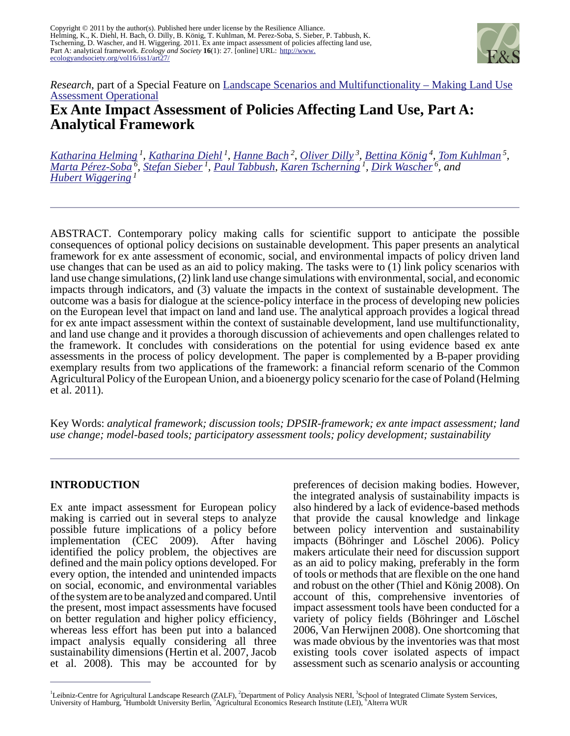Copyright © 2011 by the author(s). Published here under license by the Resilience Alliance. Helming, K., K. Diehl, H. Bach, O. Dilly, B. König, T. Kuhlman, M. Perez-Soba, S. Sieber, P. Tabbush, K. Tscherning, D. Wascher, and H. Wiggering. 2011. Ex ante impact assessment of policies affecting land use, Part A: analytical framework. *Ecology and Society* **16**(1): 27. [online] URL: [http://www.](http://www.ecologyandsociety.org/vol16/iss1/art27/) [ecologyandsociety.org/vol16/iss1/art27/](http://www.ecologyandsociety.org/vol16/iss1/art27/)



# *Research*, part of a Special Feature on [Landscape Scenarios and Multifunctionality – Making Land Use](http://www.ecologyandsociety.org/viewissue.php?sf=45) [Assessment Operational](http://www.ecologyandsociety.org/viewissue.php?sf=45)

# **Ex Ante Impact Assessment of Policies Affecting Land Use, Part A: Analytical Framework**

<u>[Katharina Helming](mailto:khelming@zalf.de) <sup>1</sup>, [Katharina Diehl](mailto:diehl@zalf.de) <sup>1</sup>, [Hanne Bach](mailto:hba@dmu.dk) <sup>2</sup>, [Oliver Dilly](mailto:oliver.dilly@uni-hamburg.de) <sup>3</sup>, <u>[Bettina König](mailto:bettina.koenig@agrar.hu-berlin.de) <sup>4</sup>, [Tom Kuhlman](mailto:tom.kuhlman@wur.nl)</u> 5,</u> *[Marta Pérez-Soba](mailto:marta.perezsoba@wur.nl)<sup>6</sup> , [Stefan Sieber](mailto:stefan.sieber@zalf.de)<sup>1</sup> , [Paul Tabbush](mailto:paul.tabbush@virgin.net), [Karen Tscherning](mailto:tscherning@zalf.de)<sup>1</sup> , [Dirk Wascher](mailto:dirk.wascher@wur.nl)<sup>6</sup>, and [Hubert Wiggering](mailto:wiggering@zalf.de)<sup>1</sup>*

ABSTRACT. Contemporary policy making calls for scientific support to anticipate the possible consequences of optional policy decisions on sustainable development. This paper presents an analytical framework for ex ante assessment of economic, social, and environmental impacts of policy driven land use changes that can be used as an aid to policy making. The tasks were to (1) link policy scenarios with land use change simulations, (2) link land use change simulations with environmental, social, and economic impacts through indicators, and (3) valuate the impacts in the context of sustainable development. The outcome was a basis for dialogue at the science-policy interface in the process of developing new policies on the European level that impact on land and land use. The analytical approach provides a logical thread for ex ante impact assessment within the context of sustainable development, land use multifunctionality, and land use change and it provides a thorough discussion of achievements and open challenges related to the framework. It concludes with considerations on the potential for using evidence based ex ante assessments in the process of policy development. The paper is complemented by a B-paper providing exemplary results from two applications of the framework: a financial reform scenario of the Common Agricultural Policy of the European Union, and a bioenergy policy scenario for the case of Poland (Helming et al. 2011).

Key Words: *analytical framework; discussion tools; DPSIR-framework; ex ante impact assessment; land use change; model-based tools; participatory assessment tools; policy development; sustainability*

# **INTRODUCTION**

Ex ante impact assessment for European policy making is carried out in several steps to analyze possible future implications of a policy before implementation (CEC 2009). After having identified the policy problem, the objectives are defined and the main policy options developed. For every option, the intended and unintended impacts on social, economic, and environmental variables of the system are to be analyzed and compared. Until the present, most impact assessments have focused on better regulation and higher policy efficiency, whereas less effort has been put into a balanced impact analysis equally considering all three sustainability dimensions (Hertin et al. 2007, Jacob et al. 2008). This may be accounted for by

preferences of decision making bodies. However, the integrated analysis of sustainability impacts is also hindered by a lack of evidence-based methods that provide the causal knowledge and linkage between policy intervention and sustainability impacts (Böhringer and Löschel 2006). Policy makers articulate their need for discussion support as an aid to policy making, preferably in the form of tools or methods that are flexible on the one hand and robust on the other (Thiel and König 2008). On account of this, comprehensive inventories of impact assessment tools have been conducted for a variety of policy fields (Böhringer and Löschel 2006, Van Herwijnen 2008). One shortcoming that was made obvious by the inventories was that most existing tools cover isolated aspects of impact assessment such as scenario analysis or accounting

<sup>&</sup>lt;sup>1</sup>Leibniz-Centre for Agricultural Landscape Research (ZALF), <sup>2</sup>Department of Policy Analysis NERI, <sup>3</sup>School of Integrated Climate System Services, University of Hamburg, "Humboldt University Berlin, "Agricultural Economics Research Institute (LEI), "Alterra WUR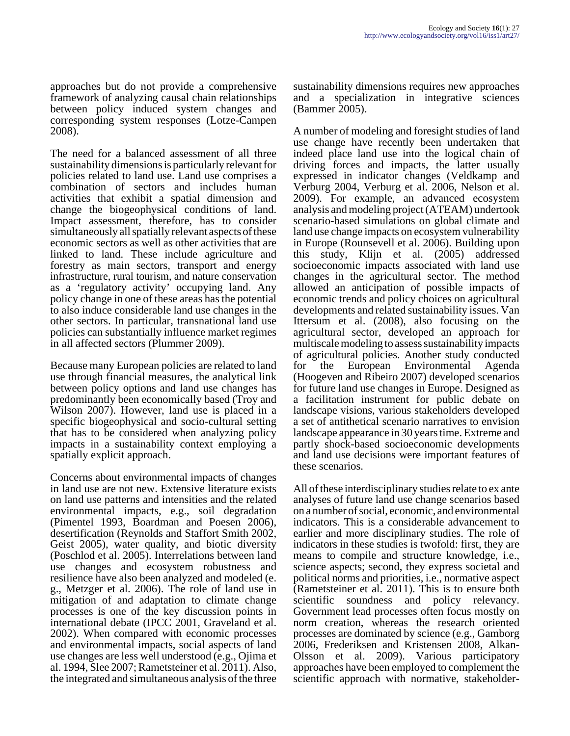approaches but do not provide a comprehensive framework of analyzing causal chain relationships between policy induced system changes and corresponding system responses (Lotze-Campen 2008).

The need for a balanced assessment of all three sustainability dimensions is particularly relevant for policies related to land use. Land use comprises a combination of sectors and includes human activities that exhibit a spatial dimension and change the biogeophysical conditions of land. Impact assessment, therefore, has to consider simultaneously all spatially relevant aspects of these economic sectors as well as other activities that are linked to land. These include agriculture and forestry as main sectors, transport and energy infrastructure, rural tourism, and nature conservation as a 'regulatory activity' occupying land. Any policy change in one of these areas has the potential to also induce considerable land use changes in the other sectors. In particular, transnational land use policies can substantially influence market regimes in all affected sectors (Plummer 2009).

Because many European policies are related to land use through financial measures, the analytical link between policy options and land use changes has predominantly been economically based (Troy and Wilson 2007). However, land use is placed in a specific biogeophysical and socio-cultural setting that has to be considered when analyzing policy impacts in a sustainability context employing a spatially explicit approach.

Concerns about environmental impacts of changes in land use are not new. Extensive literature exists on land use patterns and intensities and the related environmental impacts, e.g., soil degradation (Pimentel 1993, Boardman and Poesen 2006), desertification (Reynolds and Staffort Smith 2002, Geist 2005), water quality, and biotic diversity (Poschlod et al. 2005). Interrelations between land use changes and ecosystem robustness and resilience have also been analyzed and modeled (e. g., Metzger et al. 2006). The role of land use in mitigation of and adaptation to climate change processes is one of the key discussion points in international debate (IPCC 2001, Graveland et al. 2002). When compared with economic processes and environmental impacts, social aspects of land use changes are less well understood (e.g., Ojima et al. 1994, Slee 2007; Rametsteiner et al. 2011). Also, the integrated and simultaneous analysis of the three

sustainability dimensions requires new approaches and a specialization in integrative sciences (Bammer 2005).

A number of modeling and foresight studies of land use change have recently been undertaken that indeed place land use into the logical chain of driving forces and impacts, the latter usually expressed in indicator changes (Veldkamp and Verburg 2004, Verburg et al. 2006, Nelson et al. 2009). For example, an advanced ecosystem analysis and modeling project (ATEAM) undertook scenario-based simulations on global climate and land use change impacts on ecosystem vulnerability in Europe (Rounsevell et al. 2006). Building upon this study, Klijn et al. (2005) addressed socioeconomic impacts associated with land use changes in the agricultural sector. The method allowed an anticipation of possible impacts of economic trends and policy choices on agricultural developments and related sustainability issues. Van Ittersum et al. (2008), also focusing on the agricultural sector, developed an approach for multiscale modeling to assess sustainability impacts of agricultural policies. Another study conducted for the European Environmental Agenda (Hoogeven and Ribeiro 2007) developed scenarios for future land use changes in Europe. Designed as a facilitation instrument for public debate on landscape visions, various stakeholders developed a set of antithetical scenario narratives to envision landscape appearance in 30 years time. Extreme and partly shock-based socioeconomic developments and land use decisions were important features of these scenarios.

All of these interdisciplinary studies relate to ex ante analyses of future land use change scenarios based on a number of social, economic, and environmental indicators. This is a considerable advancement to earlier and more disciplinary studies. The role of indicators in these studies is twofold: first, they are means to compile and structure knowledge, i.e., science aspects; second, they express societal and political norms and priorities, i.e., normative aspect (Rametsteiner et al. 2011). This is to ensure both scientific soundness and policy relevancy. Government lead processes often focus mostly on norm creation, whereas the research oriented processes are dominated by science (e.g., Gamborg 2006, Frederiksen and Kristensen 2008, Alkan-Olsson et al. 2009). Various participatory approaches have been employed to complement the scientific approach with normative, stakeholder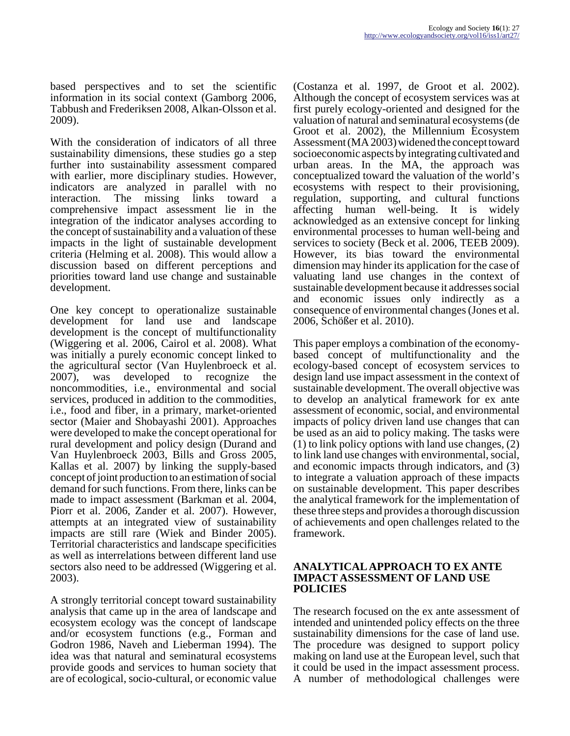based perspectives and to set the scientific information in its social context (Gamborg 2006, Tabbush and Frederiksen 2008, Alkan-Olsson et al. 2009).

With the consideration of indicators of all three sustainability dimensions, these studies go a step further into sustainability assessment compared with earlier, more disciplinary studies. However, indicators are analyzed in parallel with no interaction. The missing links toward a comprehensive impact assessment lie in the integration of the indicator analyses according to the concept of sustainability and a valuation of these impacts in the light of sustainable development criteria (Helming et al. 2008). This would allow a discussion based on different perceptions and priorities toward land use change and sustainable development.

One key concept to operationalize sustainable development for land use and landscape development is the concept of multifunctionality (Wiggering et al. 2006, Cairol et al. 2008). What was initially a purely economic concept linked to the agricultural sector (Van Huylenbroeck et al. 2007), was developed to recognize the noncommodities, i.e., environmental and social services, produced in addition to the commodities, i.e., food and fiber, in a primary, market-oriented sector (Maier and Shobayashi 2001). Approaches were developed to make the concept operational for rural development and policy design (Durand and Van Huylenbroeck 2003, Bills and Gross 2005, Kallas et al. 2007) by linking the supply-based concept of joint production to an estimation of social demand for such functions. From there, links can be made to impact assessment (Barkman et al. 2004, Piorr et al. 2006, Zander et al. 2007). However, attempts at an integrated view of sustainability impacts are still rare (Wiek and Binder 2005). Territorial characteristics and landscape specificities as well as interrelations between different land use sectors also need to be addressed (Wiggering et al. 2003).

A strongly territorial concept toward sustainability analysis that came up in the area of landscape and ecosystem ecology was the concept of landscape and/or ecosystem functions (e.g., Forman and Godron 1986, Naveh and Lieberman 1994). The idea was that natural and seminatural ecosystems provide goods and services to human society that are of ecological, socio-cultural, or economic value

(Costanza et al. 1997, de Groot et al. 2002). Although the concept of ecosystem services was at first purely ecology-oriented and designed for the valuation of natural and seminatural ecosystems (de Groot et al. 2002), the Millennium Ecosystem Assessment (MA 2003) widened the concept toward socioeconomic aspects by integrating cultivated and urban areas. In the MA, the approach was conceptualized toward the valuation of the world's ecosystems with respect to their provisioning, regulation, supporting, and cultural functions affecting human well-being. It is widely acknowledged as an extensive concept for linking environmental processes to human well-being and services to society (Beck et al. 2006, TEEB 2009). However, its bias toward the environmental dimension may hinder its application for the case of valuating land use changes in the context of sustainable development because it addresses social and economic issues only indirectly as a consequence of environmental changes (Jones et al. 2006, Schößer et al. 2010).

This paper employs a combination of the economybased concept of multifunctionality and the ecology-based concept of ecosystem services to design land use impact assessment in the context of sustainable development. The overall objective was to develop an analytical framework for ex ante assessment of economic, social, and environmental impacts of policy driven land use changes that can be used as an aid to policy making. The tasks were (1) to link policy options with land use changes, (2) to link land use changes with environmental, social, and economic impacts through indicators, and (3) to integrate a valuation approach of these impacts on sustainable development. This paper describes the analytical framework for the implementation of these three steps and provides a thorough discussion of achievements and open challenges related to the framework.

### **ANALYTICAL APPROACH TO EX ANTE IMPACT ASSESSMENT OF LAND USE POLICIES**

The research focused on the ex ante assessment of intended and unintended policy effects on the three sustainability dimensions for the case of land use. The procedure was designed to support policy making on land use at the European level, such that it could be used in the impact assessment process. A number of methodological challenges were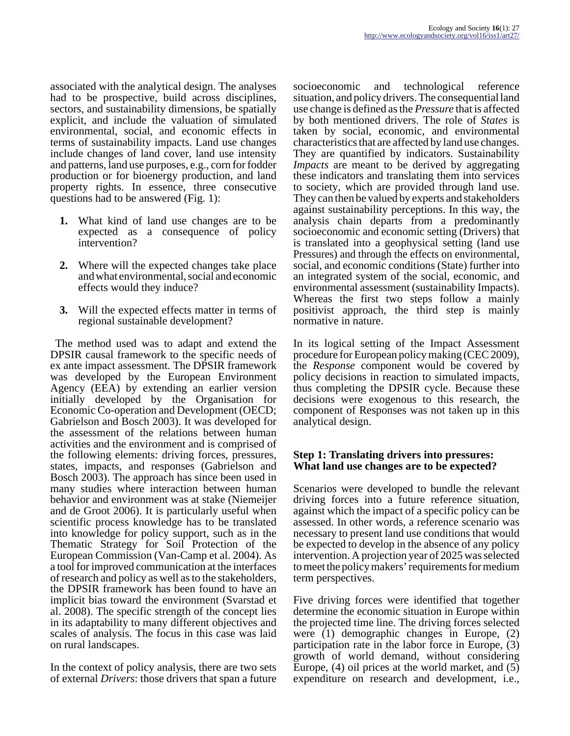associated with the analytical design. The analyses had to be prospective, build across disciplines, sectors, and sustainability dimensions, be spatially explicit, and include the valuation of simulated environmental, social, and economic effects in terms of sustainability impacts. Land use changes include changes of land cover, land use intensity and patterns, land use purposes, e.g., corn for fodder production or for bioenergy production, and land property rights. In essence, three consecutive questions had to be answered (Fig. 1):

- **1.** What kind of land use changes are to be expected as a consequence of policy intervention?
- **2.** Where will the expected changes take place and what environmental, social and economic effects would they induce?
- **3.** Will the expected effects matter in terms of regional sustainable development?

 The method used was to adapt and extend the DPSIR causal framework to the specific needs of ex ante impact assessment. The DPSIR framework was developed by the European Environment Agency (EEA) by extending an earlier version initially developed by the Organisation for Economic Co-operation and Development (OECD; Gabrielson and Bosch 2003). It was developed for the assessment of the relations between human activities and the environment and is comprised of the following elements: driving forces, pressures, states, impacts, and responses (Gabrielson and Bosch 2003). The approach has since been used in many studies where interaction between human behavior and environment was at stake (Niemeijer and de Groot 2006). It is particularly useful when scientific process knowledge has to be translated into knowledge for policy support, such as in the Thematic Strategy for Soil Protection of the European Commission (Van-Camp et al. 2004). As a tool for improved communication at the interfaces of research and policy as well as to the stakeholders, the DPSIR framework has been found to have an implicit bias toward the environment (Svarstad et al. 2008). The specific strength of the concept lies in its adaptability to many different objectives and scales of analysis. The focus in this case was laid on rural landscapes.

In the context of policy analysis, there are two sets of external *Drivers*: those drivers that span a future

socioeconomic and technological reference situation, and policy drivers. The consequential land use change is defined as the *Pressure* that is affected by both mentioned drivers. The role of *States* is taken by social, economic, and environmental characteristics that are affected by land use changes. They are quantified by indicators. Sustainability *Impacts* are meant to be derived by aggregating these indicators and translating them into services to society, which are provided through land use. They can then be valued by experts and stakeholders against sustainability perceptions. In this way, the analysis chain departs from a predominantly socioeconomic and economic setting (Drivers) that is translated into a geophysical setting (land use Pressures) and through the effects on environmental, social, and economic conditions (State) further into an integrated system of the social, economic, and environmental assessment (sustainability Impacts). Whereas the first two steps follow a mainly positivist approach, the third step is mainly normative in nature.

In its logical setting of the Impact Assessment procedure for European policy making (CEC 2009), the *Response* component would be covered by policy decisions in reaction to simulated impacts, thus completing the DPSIR cycle. Because these decisions were exogenous to this research, the component of Responses was not taken up in this analytical design.

### **Step 1: Translating drivers into pressures: What land use changes are to be expected?**

Scenarios were developed to bundle the relevant driving forces into a future reference situation, against which the impact of a specific policy can be assessed. In other words, a reference scenario was necessary to present land use conditions that would be expected to develop in the absence of any policy intervention. A projection year of 2025 was selected to meet the policy makers' requirements for medium term perspectives.

Five driving forces were identified that together determine the economic situation in Europe within the projected time line. The driving forces selected were (1) demographic changes in Europe, (2) participation rate in the labor force in Europe, (3) growth of world demand, without considering Europe, (4) oil prices at the world market, and (5) expenditure on research and development, i.e.,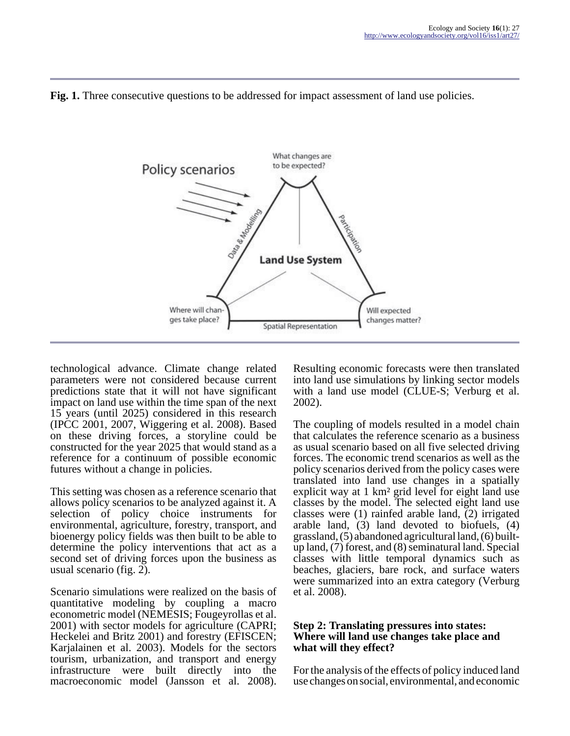

**Fig. 1.** Three consecutive questions to be addressed for impact assessment of land use policies.

technological advance. Climate change related parameters were not considered because current predictions state that it will not have significant impact on land use within the time span of the next 15 years (until 2025) considered in this research (IPCC 2001, 2007, Wiggering et al. 2008). Based on these driving forces, a storyline could be constructed for the year 2025 that would stand as a reference for a continuum of possible economic futures without a change in policies.

This setting was chosen as a reference scenario that allows policy scenarios to be analyzed against it. A selection of policy choice instruments for environmental, agriculture, forestry, transport, and bioenergy policy fields was then built to be able to determine the policy interventions that act as a second set of driving forces upon the business as usual scenario (fig. 2).

Scenario simulations were realized on the basis of quantitative modeling by coupling a macro econometric model (NEMESIS; Fougeyrollas et al. 2001) with sector models for agriculture (CAPRI; Heckelei and Britz 2001) and forestry (EFISCEN; Karjalainen et al. 2003). Models for the sectors tourism, urbanization, and transport and energy infrastructure were built directly into the macroeconomic model (Jansson et al. 2008).

Resulting economic forecasts were then translated into land use simulations by linking sector models with a land use model (CLUE-S; Verburg et al. 2002).

The coupling of models resulted in a model chain that calculates the reference scenario as a business as usual scenario based on all five selected driving forces. The economic trend scenarios as well as the policy scenarios derived from the policy cases were translated into land use changes in a spatially explicit way at 1 km² grid level for eight land use classes by the model. The selected eight land use classes were (1) rainfed arable land, (2) irrigated arable land, (3) land devoted to biofuels, (4) grassland, (5) abandoned agricultural land, (6) builtup land, (7) forest, and (8) seminatural land. Special classes with little temporal dynamics such as beaches, glaciers, bare rock, and surface waters were summarized into an extra category (Verburg et al. 2008).

#### **Step 2: Translating pressures into states: Where will land use changes take place and what will they effect?**

For the analysis of the effects of policy induced land use changes on social, environmental, and economic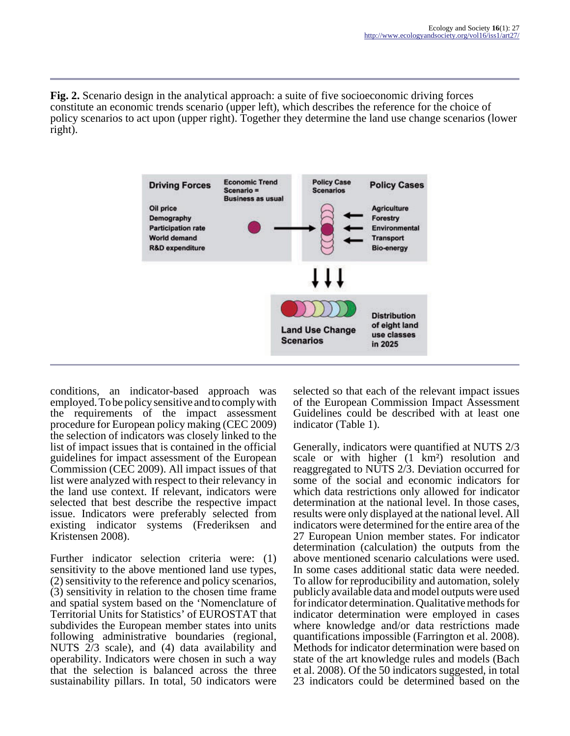**Fig. 2.** Scenario design in the analytical approach: a suite of five socioeconomic driving forces constitute an economic trends scenario (upper left), which describes the reference for the choice of policy scenarios to act upon (upper right). Together they determine the land use change scenarios (lower right).



conditions, an indicator-based approach was employed. To be policy sensitive and to comply with the requirements of the impact assessment procedure for European policy making (CEC 2009) the selection of indicators was closely linked to the list of impact issues that is contained in the official guidelines for impact assessment of the European Commission (CEC 2009). All impact issues of that list were analyzed with respect to their relevancy in the land use context. If relevant, indicators were selected that best describe the respective impact issue. Indicators were preferably selected from existing indicator systems (Frederiksen and Kristensen 2008).

Further indicator selection criteria were: (1) sensitivity to the above mentioned land use types, (2) sensitivity to the reference and policy scenarios, (3) sensitivity in relation to the chosen time frame and spatial system based on the 'Nomenclature of Territorial Units for Statistics' of EUROSTAT that subdivides the European member states into units following administrative boundaries (regional, NUTS 2/3 scale), and (4) data availability and operability. Indicators were chosen in such a way that the selection is balanced across the three sustainability pillars. In total, 50 indicators were

selected so that each of the relevant impact issues of the European Commission Impact Assessment Guidelines could be described with at least one indicator (Table 1).

Generally, indicators were quantified at NUTS 2/3 scale or with higher (1 km²) resolution and reaggregated to NUTS 2/3. Deviation occurred for some of the social and economic indicators for which data restrictions only allowed for indicator determination at the national level. In those cases, results were only displayed at the national level. All indicators were determined for the entire area of the 27 European Union member states. For indicator determination (calculation) the outputs from the above mentioned scenario calculations were used. In some cases additional static data were needed. To allow for reproducibility and automation, solely publicly available data and model outputs were used for indicator determination. Qualitative methods for indicator determination were employed in cases where knowledge and/or data restrictions made quantifications impossible (Farrington et al. 2008). Methods for indicator determination were based on state of the art knowledge rules and models (Bach et al. 2008). Of the 50 indicators suggested, in total 23 indicators could be determined based on the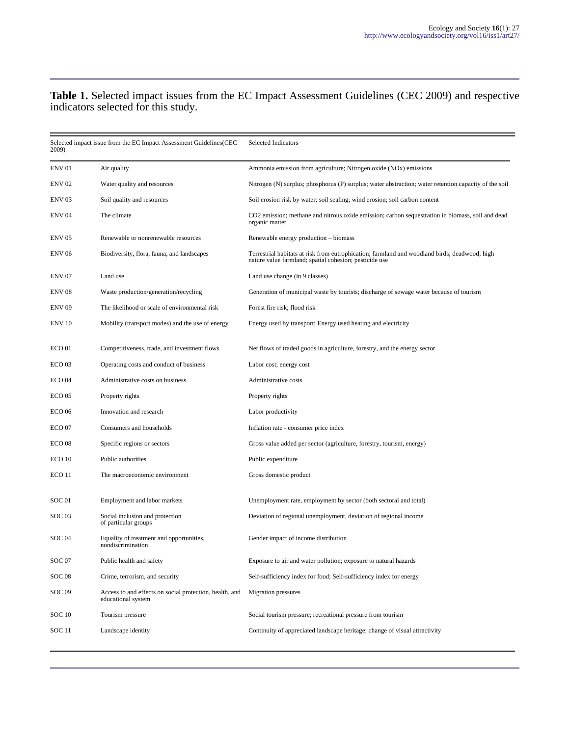**Table 1.** Selected impact issues from the EC Impact Assessment Guidelines (CEC 2009) and respective indicators selected for this study.

| Selected impact issue from the EC Impact Assessment Guidelines (CEC<br>2009) |                                                                               | Selected Indicators                                                                                                                                     |
|------------------------------------------------------------------------------|-------------------------------------------------------------------------------|---------------------------------------------------------------------------------------------------------------------------------------------------------|
| <b>ENV 01</b>                                                                | Air quality                                                                   | Ammonia emission from agriculture; Nitrogen oxide (NOx) emissions                                                                                       |
| <b>ENV 02</b>                                                                | Water quality and resources                                                   | Nitrogen (N) surplus; phosphorus (P) surplus; water abstraction; water retention capacity of the soil                                                   |
| <b>ENV 03</b>                                                                | Soil quality and resources                                                    | Soil erosion risk by water; soil sealing; wind erosion; soil carbon content                                                                             |
| <b>ENV 04</b>                                                                | The climate                                                                   | CO2 emission; methane and nitrous oxide emission; carbon sequestration in biomass, soil and dead<br>organic matter                                      |
| <b>ENV 05</b>                                                                | Renewable or nonrenewable resources                                           | Renewable energy production – biomass                                                                                                                   |
| <b>ENV 06</b>                                                                | Biodiversity, flora, fauna, and landscapes                                    | Terrestrial habitats at risk from eutrophication; farmland and woodland birds; deadwood; high<br>nature value farmland; spatial cohesion; pesticide use |
| <b>ENV 07</b>                                                                | Land use                                                                      | Land use change (in 9 classes)                                                                                                                          |
| <b>ENV 08</b>                                                                | Waste production/generation/recycling                                         | Generation of municipal waste by tourists; discharge of sewage water because of tourism                                                                 |
| <b>ENV 09</b>                                                                | The likelihood or scale of environmental risk                                 | Forest fire risk; flood risk                                                                                                                            |
| <b>ENV 10</b>                                                                | Mobility (transport modes) and the use of energy                              | Energy used by transport; Energy used heating and electricity                                                                                           |
| ECO <sub>01</sub>                                                            | Competitiveness, trade, and investment flows                                  | Net flows of traded goods in agriculture, forestry, and the energy sector                                                                               |
| ECO <sub>03</sub>                                                            | Operating costs and conduct of business                                       | Labor cost; energy cost                                                                                                                                 |
| ECO <sub>04</sub>                                                            | Administrative costs on business                                              | Administrative costs                                                                                                                                    |
| ECO <sub>05</sub>                                                            | Property rights                                                               | Property rights                                                                                                                                         |
| <b>ECO 06</b>                                                                | Innovation and research                                                       | Labor productivity                                                                                                                                      |
| ECO <sub>07</sub>                                                            | Consumers and households                                                      | Inflation rate - consumer price index                                                                                                                   |
| ECO <sub>08</sub>                                                            | Specific regions or sectors                                                   | Gross value added per sector (agriculture, forestry, tourism, energy)                                                                                   |
| ECO 10                                                                       | Public authorities                                                            | Public expenditure                                                                                                                                      |
| ECO 11                                                                       | The macroeconomic environment                                                 | Gross domestic product                                                                                                                                  |
| SOC <sub>01</sub>                                                            | Employment and labor markets                                                  | Unemployment rate, employment by sector (both sectoral and total)                                                                                       |
| SOC <sub>03</sub>                                                            | Social inclusion and protection<br>of particular groups                       | Deviation of regional unemployment, deviation of regional income                                                                                        |
| SOC <sub>04</sub>                                                            | Equality of treatment and opportunities,<br>nondiscrimination                 | Gender impact of income distribution                                                                                                                    |
| SOC 07                                                                       | Public health and safety                                                      | Exposure to air and water pollution; exposure to natural hazards                                                                                        |
| SOC 08                                                                       | Crime, terrorism, and security                                                | Self-sufficiency index for food; Self-sufficiency index for energy                                                                                      |
| SOC <sub>09</sub>                                                            | Access to and effects on social protection, health, and<br>educational system | Migration pressures                                                                                                                                     |
| <b>SOC 10</b>                                                                | Tourism pressure                                                              | Social tourism pressure; recreational pressure from tourism                                                                                             |
| SOC 11                                                                       | Landscape identity                                                            | Continuity of appreciated landscape heritage; change of visual attractivity                                                                             |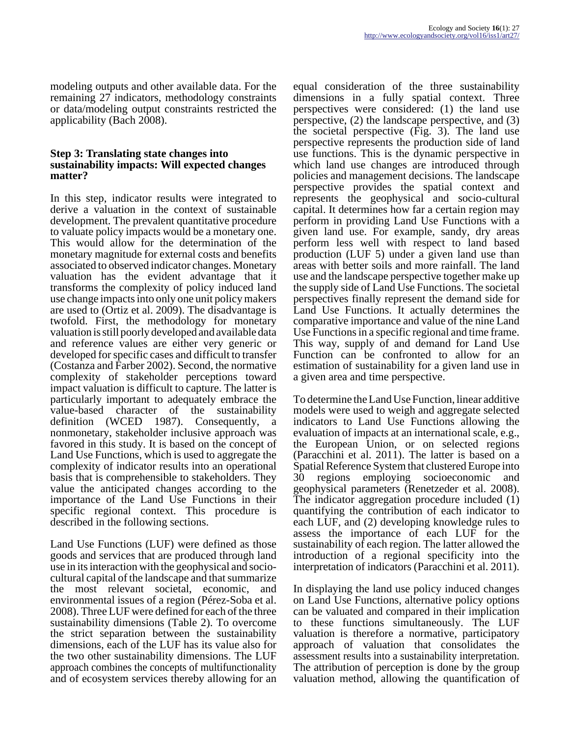modeling outputs and other available data. For the remaining 27 indicators, methodology constraints or data/modeling output constraints restricted the applicability (Bach 2008).

#### **Step 3: Translating state changes into sustainability impacts: Will expected changes matter?**

In this step, indicator results were integrated to derive a valuation in the context of sustainable development. The prevalent quantitative procedure to valuate policy impacts would be a monetary one. This would allow for the determination of the monetary magnitude for external costs and benefits associated to observed indicator changes. Monetary valuation has the evident advantage that it transforms the complexity of policy induced land use change impacts into only one unit policy makers are used to (Ortiz et al. 2009). The disadvantage is twofold. First, the methodology for monetary valuation is still poorly developed and available data and reference values are either very generic or developed for specific cases and difficult to transfer (Costanza and Farber 2002). Second, the normative complexity of stakeholder perceptions toward impact valuation is difficult to capture. The latter is particularly important to adequately embrace the value-based character of the sustainability definition (WCED 1987). Consequently, a nonmonetary, stakeholder inclusive approach was favored in this study. It is based on the concept of Land Use Functions, which is used to aggregate the complexity of indicator results into an operational basis that is comprehensible to stakeholders. They value the anticipated changes according to the importance of the Land Use Functions in their specific regional context. This procedure is described in the following sections.

Land Use Functions (LUF) were defined as those goods and services that are produced through land use in its interaction with the geophysical and sociocultural capital of the landscape and that summarize the most relevant societal, economic, and environmental issues of a region (Pérez-Soba et al. 2008). Three LUF were defined for each of the three sustainability dimensions (Table 2). To overcome the strict separation between the sustainability dimensions, each of the LUF has its value also for the two other sustainability dimensions. The LUF approach combines the concepts of multifunctionality and of ecosystem services thereby allowing for an

equal consideration of the three sustainability dimensions in a fully spatial context. Three perspectives were considered: (1) the land use perspective, (2) the landscape perspective, and (3) the societal perspective (Fig. 3). The land use perspective represents the production side of land use functions. This is the dynamic perspective in which land use changes are introduced through policies and management decisions. The landscape perspective provides the spatial context and represents the geophysical and socio-cultural capital. It determines how far a certain region may perform in providing Land Use Functions with a given land use. For example, sandy, dry areas perform less well with respect to land based production (LUF 5) under a given land use than areas with better soils and more rainfall. The land use and the landscape perspective together make up the supply side of Land Use Functions. The societal perspectives finally represent the demand side for Land Use Functions. It actually determines the comparative importance and value of the nine Land Use Functions in a specific regional and time frame. This way, supply of and demand for Land Use Function can be confronted to allow for an estimation of sustainability for a given land use in a given area and time perspective.

To determine the Land Use Function, linear additive models were used to weigh and aggregate selected indicators to Land Use Functions allowing the evaluation of impacts at an international scale, e.g., the European Union, or on selected regions (Paracchini et al. 2011). The latter is based on a Spatial Reference System that clustered Europe into 30 regions employing socioeconomic and geophysical parameters (Renetzeder et al. 2008). The indicator aggregation procedure included (1) quantifying the contribution of each indicator to each LUF, and (2) developing knowledge rules to assess the importance of each LUF for the sustainability of each region. The latter allowed the introduction of a regional specificity into the interpretation of indicators (Paracchini et al. 2011).

In displaying the land use policy induced changes on Land Use Functions, alternative policy options can be valuated and compared in their implication to these functions simultaneously. The LUF valuation is therefore a normative, participatory approach of valuation that consolidates the assessment results into a sustainability interpretation. The attribution of perception is done by the group valuation method, allowing the quantification of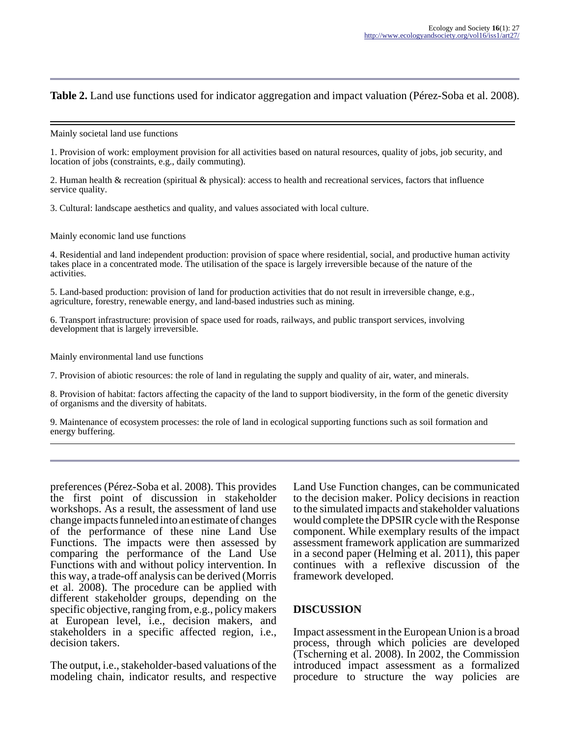#### **Table 2.** Land use functions used for indicator aggregation and impact valuation (Pérez-Soba et al. 2008).

Mainly societal land use functions

1. Provision of work: employment provision for all activities based on natural resources, quality of jobs, job security, and location of jobs (constraints, e.g., daily commuting).

2. Human health & recreation (spiritual & physical): access to health and recreational services, factors that influence service quality.

3. Cultural: landscape aesthetics and quality, and values associated with local culture.

Mainly economic land use functions

4. Residential and land independent production: provision of space where residential, social, and productive human activity takes place in a concentrated mode. The utilisation of the space is largely irreversible because of the nature of the activities.

5. Land-based production: provision of land for production activities that do not result in irreversible change, e.g., agriculture, forestry, renewable energy, and land-based industries such as mining.

6. Transport infrastructure: provision of space used for roads, railways, and public transport services, involving development that is largely irreversible.

Mainly environmental land use functions

7. Provision of abiotic resources: the role of land in regulating the supply and quality of air, water, and minerals.

8. Provision of habitat: factors affecting the capacity of the land to support biodiversity, in the form of the genetic diversity of organisms and the diversity of habitats.

9. Maintenance of ecosystem processes: the role of land in ecological supporting functions such as soil formation and energy buffering.

preferences (Pérez-Soba et al. 2008). This provides the first point of discussion in stakeholder workshops. As a result, the assessment of land use change impacts funneled into an estimate of changes of the performance of these nine Land Use Functions. The impacts were then assessed by comparing the performance of the Land Use Functions with and without policy intervention. In this way, a trade-off analysis can be derived (Morris et al. 2008). The procedure can be applied with different stakeholder groups, depending on the specific objective, ranging from, e.g., policy makers at European level, i.e., decision makers, and stakeholders in a specific affected region, i.e., decision takers.

The output, i.e., stakeholder-based valuations of the modeling chain, indicator results, and respective

Land Use Function changes, can be communicated to the decision maker. Policy decisions in reaction to the simulated impacts and stakeholder valuations would complete the DPSIR cycle with the Response component. While exemplary results of the impact assessment framework application are summarized in a second paper (Helming et al. 2011), this paper continues with a reflexive discussion of the framework developed.

#### **DISCUSSION**

Impact assessment in the European Union is a broad process, through which policies are developed (Tscherning et al. 2008). In 2002, the Commission introduced impact assessment as a formalized procedure to structure the way policies are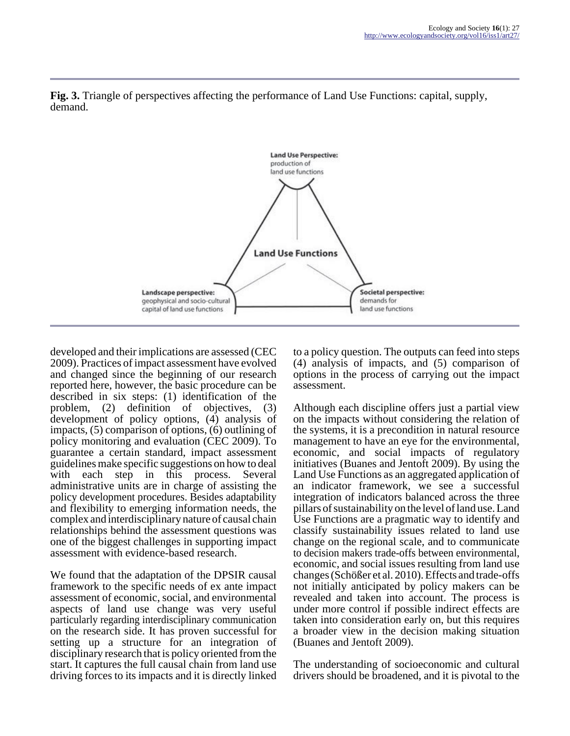

**Fig. 3.** Triangle of perspectives affecting the performance of Land Use Functions: capital, supply, demand.

developed and their implications are assessed (CEC 2009). Practices of impact assessment have evolved and changed since the beginning of our research reported here, however, the basic procedure can be described in six steps: (1) identification of the problem, (2) definition of objectives, (3) development of policy options, (4) analysis of impacts, (5) comparison of options, (6) outlining of policy monitoring and evaluation (CEC 2009). To guarantee a certain standard, impact assessment guidelines make specific suggestions on how to deal with each step in this process. Several administrative units are in charge of assisting the policy development procedures. Besides adaptability and flexibility to emerging information needs, the complex and interdisciplinary nature of causal chain relationships behind the assessment questions was one of the biggest challenges in supporting impact assessment with evidence-based research.

We found that the adaptation of the DPSIR causal framework to the specific needs of ex ante impact assessment of economic, social, and environmental aspects of land use change was very useful particularly regarding interdisciplinary communication on the research side. It has proven successful for setting up a structure for an integration of disciplinary research that is policy oriented from the start. It captures the full causal chain from land use driving forces to its impacts and it is directly linked to a policy question. The outputs can feed into steps (4) analysis of impacts, and (5) comparison of options in the process of carrying out the impact assessment.

Although each discipline offers just a partial view on the impacts without considering the relation of the systems, it is a precondition in natural resource management to have an eye for the environmental, economic, and social impacts of regulatory initiatives (Buanes and Jentoft 2009). By using the Land Use Functions as an aggregated application of an indicator framework, we see a successful integration of indicators balanced across the three pillars of sustainability on the level of land use. Land Use Functions are a pragmatic way to identify and classify sustainability issues related to land use change on the regional scale, and to communicate to decision makers trade-offs between environmental, economic, and social issues resulting from land use changes (Schößer et al. 2010). Effects and trade-offs not initially anticipated by policy makers can be revealed and taken into account. The process is under more control if possible indirect effects are taken into consideration early on, but this requires a broader view in the decision making situation (Buanes and Jentoft 2009).

The understanding of socioeconomic and cultural drivers should be broadened, and it is pivotal to the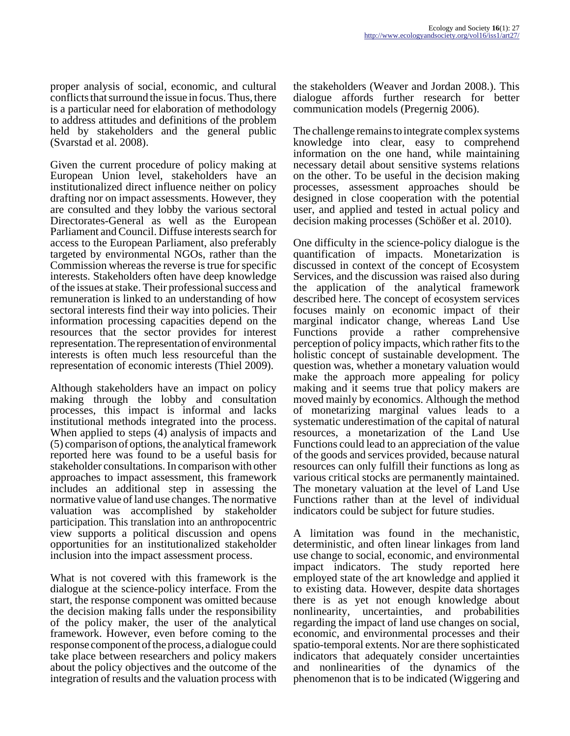proper analysis of social, economic, and cultural conflicts that surround the issue in focus. Thus, there is a particular need for elaboration of methodology to address attitudes and definitions of the problem held by stakeholders and the general public (Svarstad et al. 2008).

Given the current procedure of policy making at European Union level, stakeholders have an institutionalized direct influence neither on policy drafting nor on impact assessments. However, they are consulted and they lobby the various sectoral Directorates-General as well as the European Parliament and Council. Diffuse interests search for access to the European Parliament, also preferably targeted by environmental NGOs, rather than the Commission whereas the reverse is true for specific interests. Stakeholders often have deep knowledge of the issues at stake. Their professional success and remuneration is linked to an understanding of how sectoral interests find their way into policies. Their information processing capacities depend on the resources that the sector provides for interest representation. The representation of environmental interests is often much less resourceful than the representation of economic interests (Thiel 2009).

Although stakeholders have an impact on policy making through the lobby and consultation processes, this impact is informal and lacks institutional methods integrated into the process. When applied to steps (4) analysis of impacts and (5) comparison of options, the analytical framework reported here was found to be a useful basis for stakeholder consultations. In comparison with other approaches to impact assessment, this framework includes an additional step in assessing the normative value of land use changes. The normative valuation was accomplished by stakeholder participation. This translation into an anthropocentric view supports a political discussion and opens opportunities for an institutionalized stakeholder inclusion into the impact assessment process.

What is not covered with this framework is the dialogue at the science-policy interface. From the start, the response component was omitted because the decision making falls under the responsibility of the policy maker, the user of the analytical framework. However, even before coming to the response component of the process, a dialogue could take place between researchers and policy makers about the policy objectives and the outcome of the integration of results and the valuation process with

the stakeholders (Weaver and Jordan 2008.). This dialogue affords further research for better communication models (Pregernig 2006).

The challenge remains to integrate complex systems knowledge into clear, easy to comprehend information on the one hand, while maintaining necessary detail about sensitive systems relations on the other. To be useful in the decision making processes, assessment approaches should be designed in close cooperation with the potential user, and applied and tested in actual policy and decision making processes (Schößer et al. 2010).

One difficulty in the science-policy dialogue is the quantification of impacts. Monetarization is discussed in context of the concept of Ecosystem Services, and the discussion was raised also during the application of the analytical framework described here. The concept of ecosystem services focuses mainly on economic impact of their marginal indicator change, whereas Land Use Functions provide a rather comprehensive perception of policy impacts, which rather fits to the holistic concept of sustainable development. The question was, whether a monetary valuation would make the approach more appealing for policy making and it seems true that policy makers are moved mainly by economics. Although the method of monetarizing marginal values leads to a systematic underestimation of the capital of natural resources, a monetarization of the Land Use Functions could lead to an appreciation of the value of the goods and services provided, because natural resources can only fulfill their functions as long as various critical stocks are permanently maintained. The monetary valuation at the level of Land Use Functions rather than at the level of individual indicators could be subject for future studies.

A limitation was found in the mechanistic, deterministic, and often linear linkages from land use change to social, economic, and environmental impact indicators. The study reported here employed state of the art knowledge and applied it to existing data. However, despite data shortages there is as yet not enough knowledge about nonlinearity, uncertainties, and probabilities regarding the impact of land use changes on social, economic, and environmental processes and their spatio-temporal extents. Nor are there sophisticated indicators that adequately consider uncertainties and nonlinearities of the dynamics of the phenomenon that is to be indicated (Wiggering and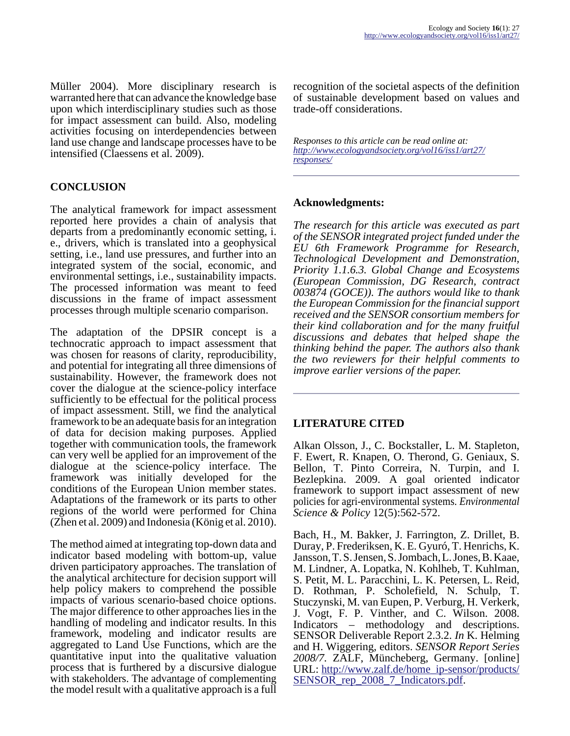Müller 2004). More disciplinary research is warranted here that can advance the knowledge base upon which interdisciplinary studies such as those for impact assessment can build. Also, modeling activities focusing on interdependencies between land use change and landscape processes have to be intensified (Claessens et al. 2009).

# **CONCLUSION**

The analytical framework for impact assessment reported here provides a chain of analysis that departs from a predominantly economic setting, i. e., drivers, which is translated into a geophysical setting, i.e., land use pressures, and further into an integrated system of the social, economic, and environmental settings, i.e., sustainability impacts. The processed information was meant to feed discussions in the frame of impact assessment processes through multiple scenario comparison.

The adaptation of the DPSIR concept is a technocratic approach to impact assessment that was chosen for reasons of clarity, reproducibility, and potential for integrating all three dimensions of sustainability. However, the framework does not cover the dialogue at the science-policy interface sufficiently to be effectual for the political process of impact assessment. Still, we find the analytical framework to be an adequate basis for an integration of data for decision making purposes. Applied together with communication tools, the framework can very well be applied for an improvement of the dialogue at the science-policy interface. The framework was initially developed for the conditions of the European Union member states. Adaptations of the framework or its parts to other regions of the world were performed for China (Zhen et al. 2009) and Indonesia (König et al. 2010).

The method aimed at integrating top-down data and indicator based modeling with bottom-up, value driven participatory approaches. The translation of the analytical architecture for decision support will help policy makers to comprehend the possible impacts of various scenario-based choice options. The major difference to other approaches lies in the handling of modeling and indicator results. In this framework, modeling and indicator results are aggregated to Land Use Functions, which are the quantitative input into the qualitative valuation process that is furthered by a discursive dialogue with stakeholders. The advantage of complementing the model result with a qualitative approach is a full

recognition of the societal aspects of the definition of sustainable development based on values and trade-off considerations.

*Responses to this article can be read online at: [http://www](http://www.ecologyandsociety.org/vol16/iss1/art27/responses/).ecologyandsociety.org/vol16/iss1/art27/ responses/*

# **Acknowledgments:**

*The research for this article was executed as part of the SENSOR integrated project funded under the EU 6th Framework Programme for Research, Technological Development and Demonstration, Priority 1.1.6.3. Global Change and Ecosystems (European Commission, DG Research, contract 003874 (GOCE)). The authors would like to thank the European Commission for the financial support received and the SENSOR consortium members for their kind collaboration and for the many fruitful discussions and debates that helped shape the thinking behind the paper. The authors also thank the two reviewers for their helpful comments to improve earlier versions of the paper.*

# **LITERATURE CITED**

Alkan Olsson, J., C. Bockstaller, L. M. Stapleton, F. Ewert, R. Knapen, O. Therond, G. Geniaux, S. Bellon, T. Pinto Correira, N. Turpin, and I. Bezlepkina. 2009. A goal oriented indicator framework to support impact assessment of new policies for agri-environmental systems. *Environmental Science & Policy* 12(5):562-572.

Bach, H., M. Bakker, J. Farrington, Z. Drillet, B. Duray, P. Frederiksen, K. E. Gyuró, T. Henrichs, K. Jansson, T. S. Jensen, S. Jombach, L. Jones, B. Kaae, M. Lindner, A. Lopatka, N. Kohlheb, T. Kuhlman, S. Petit, M. L. Paracchini, L. K. Petersen, L. Reid, D. Rothman, P. Scholefield, N. Schulp, T. Stuczynski, M. van Eupen, P. Verburg, H. Verkerk, J. Vogt, F. P. Vinther, and C. Wilson. 2008. Indicators – methodology and descriptions. SENSOR Deliverable Report 2.3.2. *In* K. Helming and H. Wiggering, editors. *SENSOR Report Series 2008/7.* ZALF, Müncheberg, Germany. [online] URL: [http://www.zalf.de/home\\_ip-sensor/products/](http://www.zalf.de/home_ip-sensor/products/SENSOR_rep_2008_7_Indicators.pdf) SENSOR rep 2008 7 Indicators.pdf.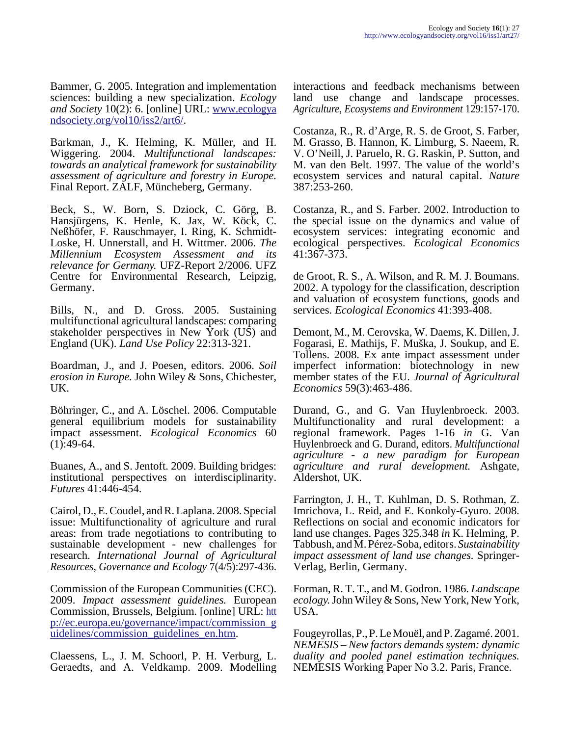Bammer, G. 2005. Integration and implementation sciences: building a new specialization. *Ecology and Society* 10(2): 6. [online] URL: [www.ecologya](http://www.ecologyandsociety.org/vol10/iss2/art6/) [ndsociety.org/vol10/iss2/art6/](http://www.ecologyandsociety.org/vol10/iss2/art6/).

Barkman, J., K. Helming, K. Müller, and H. Wiggering. 2004. *Multifunctional landscapes: towards an analytical framework for sustainability assessment of agriculture and forestry in Europe.* Final Report. ZALF, Müncheberg, Germany.

Beck, S., W. Born, S. Dziock, C. Görg, B. Hansjürgens, K. Henle, K. Jax, W. Köck, C. Neßhöfer, F. Rauschmayer, I. Ring, K. Schmidt-Loske, H. Unnerstall, and H. Wittmer. 2006. *The Millennium Ecosystem Assessment and its relevance for Germany.* UFZ-Report 2/2006. UFZ Centre for Environmental Research, Leipzig, Germany.

Bills, N., and D. Gross. 2005. Sustaining multifunctional agricultural landscapes: comparing stakeholder perspectives in New York (US) and England (UK). *Land Use Policy* 22:313-321.

Boardman, J., and J. Poesen, editors. 2006. *Soil erosion in Europe.* John Wiley & Sons, Chichester, UK.

Böhringer, C., and A. Löschel. 2006. Computable general equilibrium models for sustainability impact assessment. *Ecological Economics* 60  $(1):49-64.$ 

Buanes, A., and S. Jentoft. 2009. Building bridges: institutional perspectives on interdisciplinarity. *Futures* 41:446-454.

Cairol, D., E. Coudel, and R. Laplana. 2008. Special issue: Multifunctionality of agriculture and rural areas: from trade negotiations to contributing to sustainable development - new challenges for research. *International Journal of Agricultural Resources, Governance and Ecology* 7(4/5):297-436.

Commission of the European Communities (CEC). 2009. *Impact assessment guidelines.* European Commission, Brussels, Belgium. [online] URL: [htt](http://ec.europa.eu/governance/impact/commission_guidelines/commission_guidelines_en.htm) p://ec.europa.eu/governance/impact/commission\_g [uidelines/commission\\_guidelines\\_en.htm](http://ec.europa.eu/governance/impact/commission_guidelines/commission_guidelines_en.htm).

Claessens, L., J. M. Schoorl, P. H. Verburg, L. Geraedts, and A. Veldkamp. 2009. Modelling interactions and feedback mechanisms between land use change and landscape processes. *Agriculture, Ecosystems and Environment* 129:157-170.

Costanza, R., R. d'Arge, R. S. de Groot, S. Farber, M. Grasso, B. Hannon, K. Limburg, S. Naeem, R. V. O'Neill, J. Paruelo, R. G. Raskin, P. Sutton, and M. van den Belt. 1997. The value of the world's ecosystem services and natural capital. *Nature* 387:253-260.

Costanza, R., and S. Farber. 2002. Introduction to the special issue on the dynamics and value of ecosystem services: integrating economic and ecological perspectives. *Ecological Economics* 41:367-373.

de Groot, R. S., A. Wilson, and R. M. J. Boumans. 2002. A typology for the classification, description and valuation of ecosystem functions, goods and services. *Ecological Economics* 41:393-408.

Demont, M., M. Cerovska, W. Daems, K. Dillen, J. Fogarasi, E. Mathijs, F. Muška, J. Soukup, and E. Tollens. 2008. Ex ante impact assessment under imperfect information: biotechnology in new member states of the EU. *Journal of Agricultural Economics* 59(3):463-486.

Durand, G., and G. Van Huylenbroeck. 2003. Multifunctionality and rural development: a regional framework. Pages 1-16 *in* G. Van Huylenbroeck and G. Durand, editors. *Multifunctional agriculture - a new paradigm for European agriculture and rural development.* Ashgate, Aldershot, UK.

Farrington, J. H., T. Kuhlman, D. S. Rothman, Z. Imrichova, L. Reid, and E. Konkoly-Gyuro. 2008. Reflections on social and economic indicators for land use changes. Pages 325.348 *in* K. Helming, P. Tabbush, and M. Pérez-Soba, editors. *Sustainability impact assessment of land use changes.* Springer-Verlag, Berlin, Germany.

Forman, R. T. T., and M. Godron. 1986. *Landscape ecology.* John Wiley & Sons, New York, New York, USA.

Fougeyrollas, P., P. Le Mouël, and P. Zagamé. 2001. *NEMESIS – New factors demands system: dynamic duality and pooled panel estimation techniques.* NEMESIS Working Paper No 3.2. Paris, France.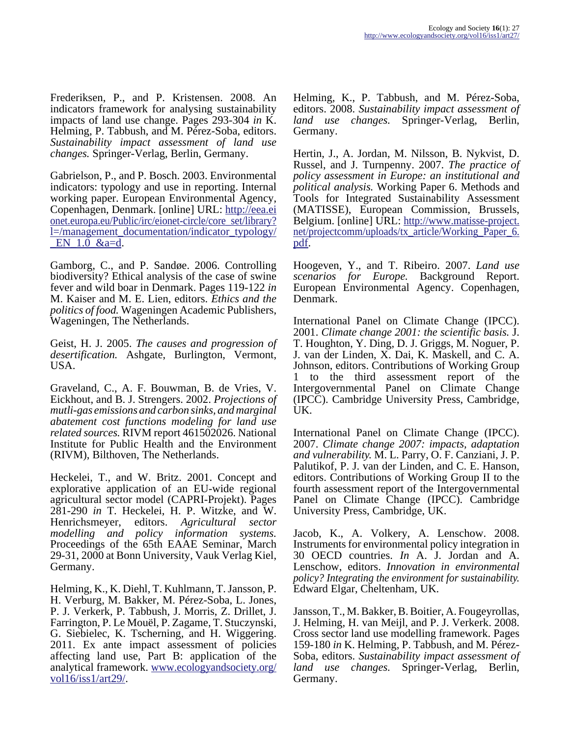Frederiksen, P., and P. Kristensen. 2008. An indicators framework for analysing sustainability impacts of land use change. Pages 293-304 *in* K. Helming, P. Tabbush, and M. Pérez-Soba, editors. *Sustainability impact assessment of land use changes.* Springer-Verlag, Berlin, Germany.

Gabrielson, P., and P. Bosch. 2003. Environmental indicators: typology and use in reporting. Internal working paper. European Environmental Agency, Copenhagen, Denmark. [online] URL: [http://eea.ei](http://eea.eionet.europa.eu/Public/irc/eionet-circle/core_set/library?l=/management_documentation/indicator_typology/_EN_1.0_&a=d) [onet.europa.eu/Public/irc/eionet-circle/core\\_set/library?](http://eea.eionet.europa.eu/Public/irc/eionet-circle/core_set/library?l=/management_documentation/indicator_typology/_EN_1.0_&a=d) l=/management\_documentation/indicator\_typology/ EN  $1.0 \text{ } \&$ a=d.

Gamborg, C., and P. Sandøe. 2006. Controlling biodiversity? Ethical analysis of the case of swine fever and wild boar in Denmark. Pages 119-122 *in* M. Kaiser and M. E. Lien, editors. *Ethics and the politics of food.* Wageningen Academic Publishers, Wageningen, The Netherlands.

Geist, H. J. 2005. *The causes and progression of desertification.* Ashgate, Burlington, Vermont, USA.

Graveland, C., A. F. Bouwman, B. de Vries, V. Eickhout, and B. J. Strengers. 2002. *Projections of mutli-gas emissions and carbon sinks, and marginal abatement cost functions modeling for land use related sources.* RIVM report 461502026. National Institute for Public Health and the Environment (RIVM), Bilthoven, The Netherlands.

Heckelei, T., and W. Britz. 2001. Concept and explorative application of an EU-wide regional agricultural sector model (CAPRI-Projekt). Pages 281-290 *in* T. Heckelei, H. P. Witzke, and W. Henrichsmeyer, editors. *Agricultural sector modelling and policy information systems.* Proceedings of the 65th EAAE Seminar, March 29-31, 2000 at Bonn University, Vauk Verlag Kiel, Germany.

Helming, K., K. Diehl, T. Kuhlmann, T. Jansson, P. H. Verburg, M. Bakker, M. Pérez-Soba, L. Jones, P. J. Verkerk, P. Tabbush, J. Morris, Z. Drillet, J. Farrington, P. Le Mouël, P. Zagame, T. Stuczynski, G. Siebielec, K. Tscherning, and H. Wiggering. 2011. Ex ante impact assessment of policies affecting land use, Part B: application of the analytical framework. [www.ecologyandsociety.org/](http://www.ecologyandsociety.org/vol16/iss1/art29/) [vol16/iss1/art29/.](http://www.ecologyandsociety.org/vol16/iss1/art29/)

Helming, K., P. Tabbush, and M. Pérez-Soba, editors. 2008. *Sustainability impact assessment of land use changes.* Springer-Verlag, Berlin, Germany.

Hertin, J., A. Jordan, M. Nilsson, B. Nykvist, D. Russel, and J. Turnpenny. 2007. *The practice of policy assessment in Europe: an institutional and political analysis.* Working Paper 6. Methods and Tools for Integrated Sustainability Assessment (MATISSE), European Commission, Brussels, Belgium. [online] URL: [http://www.matisse-project.](http://www.matisse-project.net/projectcomm/uploads/tx_article/Working_Paper_6.pdf) net/projectcomm/uploads/tx\_article/Working\_Paper\_6. [pdf.](http://www.matisse-project.net/projectcomm/uploads/tx_article/Working_Paper_6.pdf)

Hoogeven, Y., and T. Ribeiro. 2007. *Land use scenarios for Europe.* Background Report. European Environmental Agency. Copenhagen, Denmark.

International Panel on Climate Change (IPCC). 2001. *Climate change 2001: the scientific basis.* J. T. Houghton, Y. Ding, D. J. Griggs, M. Noguer, P. J. van der Linden, X. Dai, K. Maskell, and C. A. Johnson, editors. Contributions of Working Group 1 to the third assessment report of the Intergovernmental Panel on Climate Change (IPCC). Cambridge University Press, Cambridge, UK.

International Panel on Climate Change (IPCC). 2007. *Climate change 2007: impacts, adaptation and vulnerability.* M. L. Parry, O. F. Canziani, J. P. Palutikof, P. J. van der Linden, and C. E. Hanson, editors. Contributions of Working Group II to the fourth assessment report of the Intergovernmental Panel on Climate Change (IPCC). Cambridge University Press, Cambridge, UK.

Jacob, K., A. Volkery, A. Lenschow. 2008. Instruments for environmental policy integration in 30 OECD countries. *In* A. J. Jordan and A. Lenschow, editors. *Innovation in environmental policy? Integrating the environment for sustainability.* Edward Elgar, Cheltenham, UK.

Jansson, T., M. Bakker, B. Boitier, A. Fougeyrollas, J. Helming, H. van Meijl, and P. J. Verkerk. 2008. Cross sector land use modelling framework. Pages 159-180 *in* K. Helming, P. Tabbush, and M. Pérez-Soba, editors. *Sustainability impact assessment of land use changes.* Springer-Verlag, Berlin, Germany.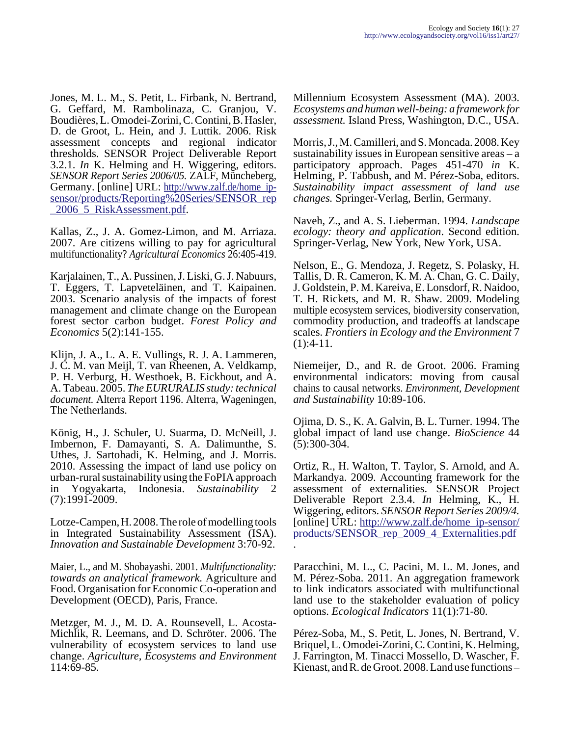Jones, M. L. M., S. Petit, L. Firbank, N. Bertrand, G. Geffard, M. Rambolinaza, C. Granjou, V. Boudières, L. Omodei-Zorini, C. Contini, B. Hasler, D. de Groot, L. Hein, and J. Luttik. 2006. Risk assessment concepts and regional indicator thresholds. SENSOR Project Deliverable Report 3.2.1. *In* K. Helming and H. Wiggering, editors. *SENSOR Report Series 2006/05.* ZALF, Müncheberg, Germany. [online] URL: [http://www.zalf.de/home\\_ip](http://www.zalf.de/home_ip-sensor/products/Reporting%20Series/SENSOR_rep_2006_5_RiskAssessment.pdf)[sensor/products/Reporting%20Series/SENSOR\\_rep](http://www.zalf.de/home_ip-sensor/products/Reporting%20Series/SENSOR_rep_2006_5_RiskAssessment.pdf) [\\_2006\\_5\\_RiskAssessment.pdf.](http://www.zalf.de/home_ip-sensor/products/Reporting%20Series/SENSOR_rep_2006_5_RiskAssessment.pdf)

Kallas, Z., J. A. Gomez-Limon, and M. Arriaza. 2007. Are citizens willing to pay for agricultural multifunctionality? *Agricultural Economics* 26:405-419.

Karjalainen, T., A. Pussinen, J. Liski, G. J. Nabuurs, T. Eggers, T. Lapveteläinen, and T. Kaipainen. 2003. Scenario analysis of the impacts of forest management and climate change on the European forest sector carbon budget. *Forest Policy and Economics* 5(2):141-155.

Klijn, J. A., L. A. E. Vullings, R. J. A. Lammeren, J. C. M. van Meijl, T. van Rheenen, A. Veldkamp, P. H. Verburg, H. Westhoek, B. Eickhout, and A. A. Tabeau. 2005. *The EURURALIS study: technical document.* Alterra Report 1196. Alterra, Wageningen, The Netherlands.

König, H., J. Schuler, U. Suarma, D. McNeill, J. Imbernon, F. Damayanti, S. A. Dalimunthe, S. Uthes, J. Sartohadi, K. Helming, and J. Morris. 2010. Assessing the impact of land use policy on urban-rural sustainability using the FoPIA approach in Yogyakarta, Indonesia. *Sustainability* 2 (7):1991-2009.

Lotze-Campen, H. 2008. The role of modelling tools in Integrated Sustainability Assessment (ISA). *Innovation and Sustainable Development* 3:70-92.

Maier, L., and M. Shobayashi. 2001. *Multifunctionality: towards an analytical framework.* Agriculture and Food. Organisation for Economic Co-operation and Development (OECD), Paris, France.

Metzger, M. J., M. D. A. Rounsevell, L. Acosta-Michlik, R. Leemans, and D. Schröter. 2006. The vulnerability of ecosystem services to land use change. *Agriculture, Ecosystems and Environment* 114:69-85.

Millennium Ecosystem Assessment (MA). 2003. *Ecosystems and human well-being: a framework for assessment.* Island Press, Washington, D.C., USA.

Morris, J., M. Camilleri, and S. Moncada. 2008. Key sustainability issues in European sensitive areas – a participatory approach. Pages 451-470 *in* K. Helming, P. Tabbush, and M. Pérez-Soba, editors. *Sustainability impact assessment of land use changes.* Springer-Verlag, Berlin, Germany.

Naveh, Z., and A. S. Lieberman. 1994. *Landscape ecology: theory and application*. Second edition. Springer-Verlag, New York, New York, USA.

Nelson, E., G. Mendoza, J. Regetz, S. Polasky, H. Tallis, D. R. Cameron, K. M. A. Chan, G. C. Daily, J. Goldstein, P. M. Kareiva, E. Lonsdorf, R. Naidoo, T. H. Rickets, and M. R. Shaw. 2009. Modeling multiple ecosystem services, biodiversity conservation, commodity production, and tradeoffs at landscape scales. *Frontiers in Ecology and the Environment* 7  $(1):4-11.$ 

Niemeijer, D., and R. de Groot. 2006. Framing environmental indicators: moving from causal chains to causal networks. *Environment, Development and Sustainability* 10:89-106.

Ojima, D. S., K. A. Galvin, B. L. Turner. 1994. The global impact of land use change. *BioScience* 44 (5):300-304.

Ortiz, R., H. Walton, T. Taylor, S. Arnold, and A. Markandya. 2009. Accounting framework for the assessment of externalities. SENSOR Project Deliverable Report 2.3.4. *In* Helming, K., H. Wiggering, editors. *SENSOR Report Series 2009/4.* [online] URL: [http://www.zalf.de/home\\_ip-sensor/](http://www.zalf.de/home_ip-sensor/products/SENSOR_rep_2009_4_Externalities.pdf) [products/SENSOR\\_rep\\_2009\\_4\\_Externalities.pdf](http://www.zalf.de/home_ip-sensor/products/SENSOR_rep_2009_4_Externalities.pdf) .

Paracchini, M. L., C. Pacini, M. L. M. Jones, and M. Pérez-Soba. 2011. An aggregation framework to link indicators associated with multifunctional land use to the stakeholder evaluation of policy options. *Ecological Indicators* 11(1):71-80.

Pérez-Soba, M., S. Petit, L. Jones, N. Bertrand, V. Briquel, L. Omodei-Zorini, C. Contini, K. Helming, J. Farrington, M. Tinacci Mossello, D. Wascher, F. Kienast, and R. de Groot. 2008. Land use functions –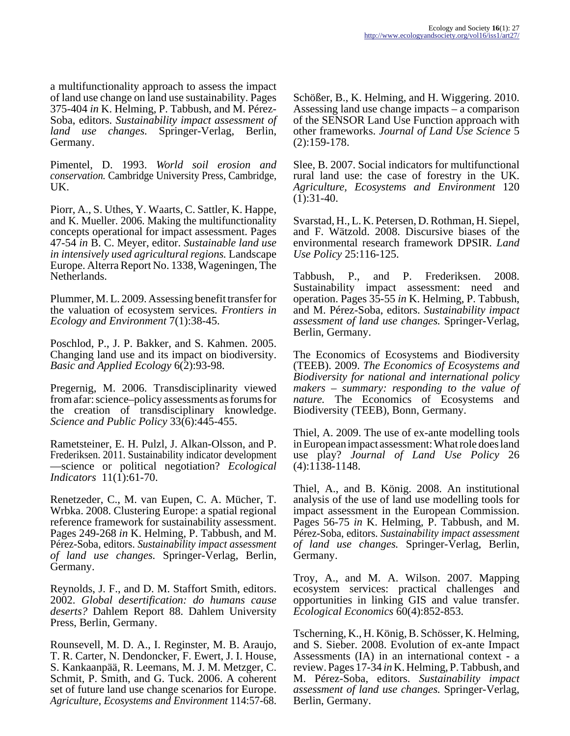a multifunctionality approach to assess the impact of land use change on land use sustainability. Pages 375-404 *in* K. Helming, P. Tabbush, and M. Pérez-Soba, editors. *Sustainability impact assessment of land use changes.* Springer-Verlag, Berlin, Germany.

Pimentel, D. 1993. *World soil erosion and conservation.* Cambridge University Press, Cambridge, UK.

Piorr, A., S. Uthes, Y. Waarts, C. Sattler, K. Happe, and K. Mueller. 2006. Making the multifunctionality concepts operational for impact assessment. Pages 47-54 *in* B. C. Meyer, editor. *Sustainable land use in intensively used agricultural regions.* Landscape Europe. Alterra Report No. 1338, Wageningen, The Netherlands.

Plummer, M. L. 2009. Assessing benefit transfer for the valuation of ecosystem services. *Frontiers in Ecology and Environment* 7(1):38-45.

Poschlod, P., J. P. Bakker, and S. Kahmen. 2005. Changing land use and its impact on biodiversity. *Basic and Applied Ecology* 6(2):93-98.

Pregernig, M. 2006. Transdisciplinarity viewed from afar: science–policy assessments as forums for the creation of transdisciplinary knowledge. *Science and Public Policy* 33(6):445-455.

Rametsteiner, E. H. Pulzl, J. Alkan-Olsson, and P. Frederiksen. 2011. Sustainability indicator development —science or political negotiation? *Ecological Indicators* 11(1):61-70.

Renetzeder, C., M. van Eupen, C. A. Mücher, T. Wrbka. 2008. Clustering Europe: a spatial regional reference framework for sustainability assessment. Pages 249-268 *in* K. Helming, P. Tabbush, and M. Pérez-Soba, editors. *Sustainability impact assessment of land use changes.* Springer-Verlag, Berlin, Germany.

Reynolds, J. F., and D. M. Staffort Smith, editors. 2002. *Global desertification: do humans cause deserts?* Dahlem Report 88. Dahlem University Press, Berlin, Germany.

Rounsevell, M. D. A., I. Reginster, M. B. Araujo, T. R. Carter, N. Dendoncker, F. Ewert, J. I. House, S. Kankaanpää, R. Leemans, M. J. M. Metzger, C. Schmit, P. Smith, and G. Tuck. 2006. A coherent set of future land use change scenarios for Europe. *Agriculture, Ecosystems and Environment* 114:57-68.

Schößer, B., K. Helming, and H. Wiggering. 2010. Assessing land use change impacts – a comparison of the SENSOR Land Use Function approach with other frameworks. *Journal of Land Use Science* 5 (2):159-178.

Slee, B. 2007. Social indicators for multifunctional rural land use: the case of forestry in the UK. *Agriculture, Ecosystems and Environment* 120  $(1):31-40.$ 

Svarstad, H., L. K. Petersen, D. Rothman, H. Siepel, and F. Wätzold. 2008. Discursive biases of the environmental research framework DPSIR. *Land Use Policy* 25:116-125.

Tabbush, P., and P. Frederiksen. 2008. Sustainability impact assessment: need and operation. Pages 35-55 *in* K. Helming, P. Tabbush, and M. Pérez-Soba, editors. *Sustainability impact assessment of land use changes.* Springer-Verlag, Berlin, Germany.

The Economics of Ecosystems and Biodiversity (TEEB). 2009. *The Economics of Ecosystems and Biodiversity for national and international policy makers – summary: responding to the value of nature.* The Economics of Ecosystems and Biodiversity (TEEB), Bonn, Germany.

Thiel, A. 2009. The use of ex-ante modelling tools in European impact assessment: What role does land use play? *Journal of Land Use Policy* 26 (4):1138-1148.

Thiel, A., and B. König. 2008. An institutional analysis of the use of land use modelling tools for impact assessment in the European Commission. Pages 56-75 *in* K. Helming, P. Tabbush, and M. Pérez-Soba, editors. *Sustainability impact assessment of land use changes.* Springer-Verlag, Berlin, Germany.

Troy, A., and M. A. Wilson. 2007. Mapping ecosystem services: practical challenges and opportunities in linking GIS and value transfer. *Ecological Economics* 60(4):852-853.

Tscherning, K., H. König, B. Schösser, K. Helming, and S. Sieber. 2008. Evolution of ex-ante Impact Assessments (IA) in an international context - a review. Pages 17-34 *in* K. Helming, P. Tabbush, and M. Pérez-Soba, editors. *Sustainability impact assessment of land use changes.* Springer-Verlag, Berlin, Germany.